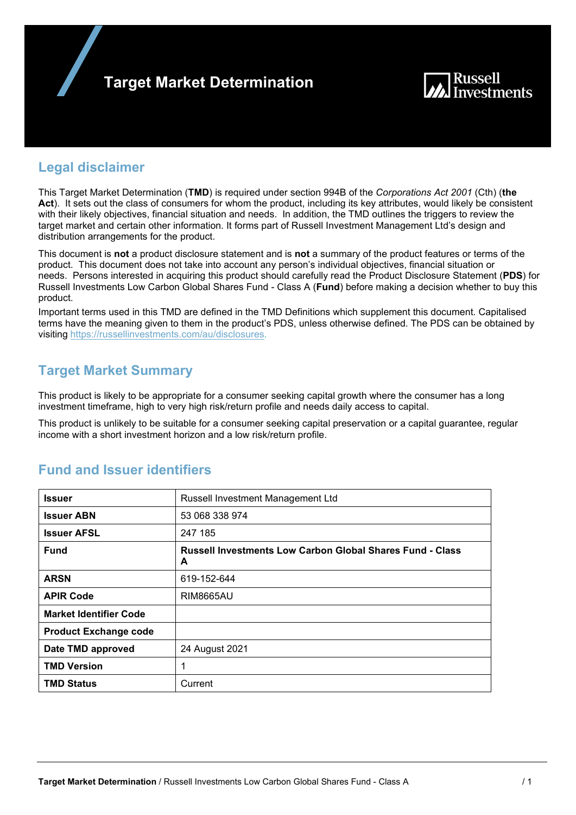



## **Legal disclaimer**

This Target Market Determination (**TMD**) is required under section 994B of the *Corporations Act 2001* (Cth) (**the Act**). It sets out the class of consumers for whom the product, including its key attributes, would likely be consistent with their likely objectives, financial situation and needs. In addition, the TMD outlines the triggers to review the target market and certain other information. It forms part of Russell Investment Management Ltd's design and distribution arrangements for the product.

This document is **not** a product disclosure statement and is **not** a summary of the product features or terms of the product. This document does not take into account any person's individual objectives, financial situation or needs. Persons interested in acquiring this product should carefully read the Product Disclosure Statement (**PDS**) for Russell Investments Low Carbon Global Shares Fund - Class A (**Fund**) before making a decision whether to buy this product.

Important terms used in this TMD are defined in the TMD Definitions which supplement this document. Capitalised terms have the meaning given to them in the product's PDS, unless otherwise defined. The PDS can be obtained by visiting https://russellinvestments.com/au/disclosures.

## **Target Market Summary**

This product is likely to be appropriate for a consumer seeking capital growth where the consumer has a long investment timeframe, high to very high risk/return profile and needs daily access to capital.

This product is unlikely to be suitable for a consumer seeking capital preservation or a capital guarantee, regular income with a short investment horizon and a low risk/return profile.

| <b>Issuer</b>                 | Russell Investment Management Ltd                                     |
|-------------------------------|-----------------------------------------------------------------------|
| <b>Issuer ABN</b>             | 53 068 338 974                                                        |
| <b>Issuer AFSL</b>            | 247 185                                                               |
| <b>Fund</b>                   | <b>Russell Investments Low Carbon Global Shares Fund - Class</b><br>A |
| <b>ARSN</b>                   | 619-152-644                                                           |
| <b>APIR Code</b>              | <b>RIM8665AU</b>                                                      |
| <b>Market Identifier Code</b> |                                                                       |
| <b>Product Exchange code</b>  |                                                                       |
| Date TMD approved             | 24 August 2021                                                        |
| <b>TMD Version</b>            | 1                                                                     |
| <b>TMD Status</b>             | Current                                                               |

# **Fund and Issuer identifiers**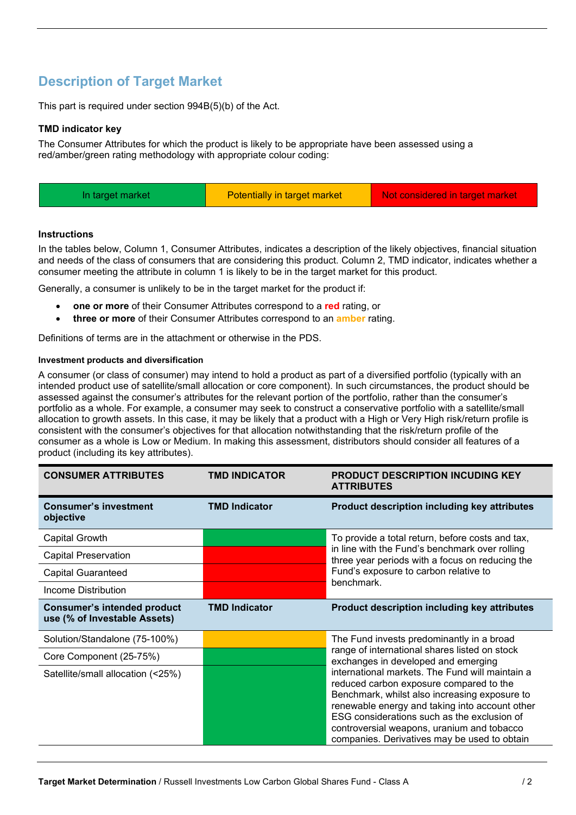# **Description of Target Market**

This part is required under section 994B(5)(b) of the Act.

### **TMD indicator key**

The Consumer Attributes for which the product is likely to be appropriate have been assessed using a red/amber/green rating methodology with appropriate colour coding:

| Potentially in target market<br>Not considered in target market<br>In target market |  |
|-------------------------------------------------------------------------------------|--|
|-------------------------------------------------------------------------------------|--|

### **Instructions**

In the tables below, Column 1, Consumer Attributes, indicates a description of the likely objectives, financial situation and needs of the class of consumers that are considering this product. Column 2, TMD indicator, indicates whether a consumer meeting the attribute in column 1 is likely to be in the target market for this product.

Generally, a consumer is unlikely to be in the target market for the product if:

- **one or more** of their Consumer Attributes correspond to a **red** rating, or
- **three or more** of their Consumer Attributes correspond to an **amber** rating.

Definitions of terms are in the attachment or otherwise in the PDS.

### **Investment products and diversification**

A consumer (or class of consumer) may intend to hold a product as part of a diversified portfolio (typically with an intended product use of satellite/small allocation or core component). In such circumstances, the product should be assessed against the consumer's attributes for the relevant portion of the portfolio, rather than the consumer's portfolio as a whole. For example, a consumer may seek to construct a conservative portfolio with a satellite/small allocation to growth assets. In this case, it may be likely that a product with a High or Very High risk/return profile is consistent with the consumer's objectives for that allocation notwithstanding that the risk/return profile of the consumer as a whole is Low or Medium. In making this assessment, distributors should consider all features of a product (including its key attributes).

| <b>CONSUMER ATTRIBUTES</b>                                         | <b>TMD INDICATOR</b> | <b>PRODUCT DESCRIPTION INCUDING KEY</b><br><b>ATTRIBUTES</b>                                                                                                                                                                                                                                                                               |  |
|--------------------------------------------------------------------|----------------------|--------------------------------------------------------------------------------------------------------------------------------------------------------------------------------------------------------------------------------------------------------------------------------------------------------------------------------------------|--|
| <b>Consumer's investment</b><br>objective                          | <b>TMD Indicator</b> | <b>Product description including key attributes</b>                                                                                                                                                                                                                                                                                        |  |
| Capital Growth                                                     |                      | To provide a total return, before costs and tax,                                                                                                                                                                                                                                                                                           |  |
| <b>Capital Preservation</b>                                        |                      | in line with the Fund's benchmark over rolling<br>three year periods with a focus on reducing the                                                                                                                                                                                                                                          |  |
| <b>Capital Guaranteed</b>                                          |                      | Fund's exposure to carbon relative to                                                                                                                                                                                                                                                                                                      |  |
| Income Distribution                                                |                      | benchmark.                                                                                                                                                                                                                                                                                                                                 |  |
| <b>Consumer's intended product</b><br>use (% of Investable Assets) | <b>TMD Indicator</b> | <b>Product description including key attributes</b>                                                                                                                                                                                                                                                                                        |  |
| Solution/Standalone (75-100%)                                      |                      | The Fund invests predominantly in a broad                                                                                                                                                                                                                                                                                                  |  |
| Core Component (25-75%)                                            |                      | range of international shares listed on stock<br>exchanges in developed and emerging                                                                                                                                                                                                                                                       |  |
| Satellite/small allocation (<25%)                                  |                      | international markets. The Fund will maintain a<br>reduced carbon exposure compared to the<br>Benchmark, whilst also increasing exposure to<br>renewable energy and taking into account other<br>ESG considerations such as the exclusion of<br>controversial weapons, uranium and tobacco<br>companies. Derivatives may be used to obtain |  |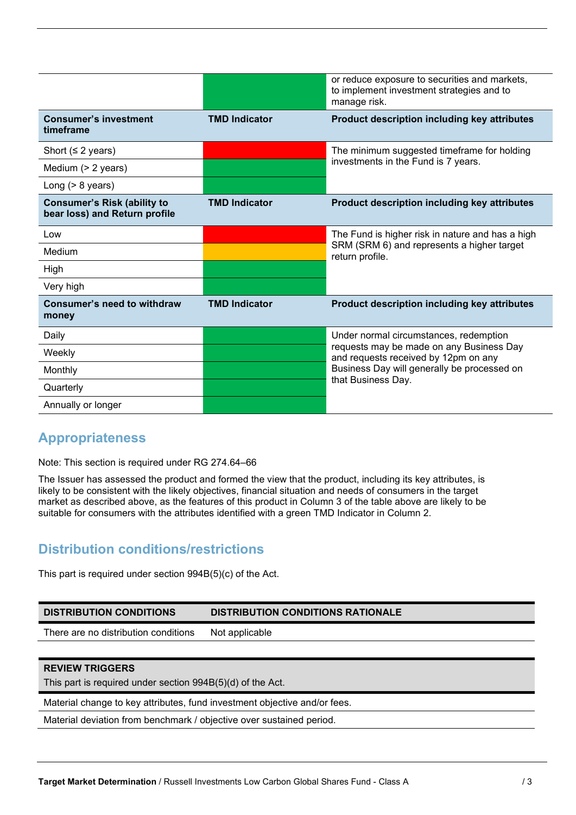|                                                                     |                      | or reduce exposure to securities and markets,<br>to implement investment strategies and to<br>manage risk. |
|---------------------------------------------------------------------|----------------------|------------------------------------------------------------------------------------------------------------|
| <b>Consumer's investment</b><br>timeframe                           | <b>TMD Indicator</b> | Product description including key attributes                                                               |
| Short ( $\leq$ 2 years)                                             |                      | The minimum suggested timeframe for holding                                                                |
| Medium (> 2 years)                                                  |                      | investments in the Fund is 7 years.                                                                        |
| Long $(> 8$ years)                                                  |                      |                                                                                                            |
| <b>Consumer's Risk (ability to</b><br>bear loss) and Return profile | <b>TMD Indicator</b> | Product description including key attributes                                                               |
| Low                                                                 |                      | The Fund is higher risk in nature and has a high                                                           |
| Medium                                                              |                      | SRM (SRM 6) and represents a higher target<br>return profile.                                              |
| High                                                                |                      |                                                                                                            |
| Very high                                                           |                      |                                                                                                            |
| Consumer's need to withdraw<br>money                                | <b>TMD Indicator</b> | Product description including key attributes                                                               |
| Daily                                                               |                      | Under normal circumstances, redemption                                                                     |
| Weekly                                                              |                      | requests may be made on any Business Day<br>and requests received by 12pm on any                           |
| Monthly                                                             |                      | Business Day will generally be processed on                                                                |
| Quarterly                                                           |                      | that Business Day.                                                                                         |
| Annually or longer                                                  |                      |                                                                                                            |

## **Appropriateness**

Note: This section is required under RG 274.64–66

The Issuer has assessed the product and formed the view that the product, including its key attributes, is likely to be consistent with the likely objectives, financial situation and needs of consumers in the target market as described above, as the features of this product in Column 3 of the table above are likely to be suitable for consumers with the attributes identified with a green TMD Indicator in Column 2.

# **Distribution conditions/restrictions**

This part is required under section 994B(5)(c) of the Act.

| <b>DISTRIBUTION CONDITIONS</b>                             | <b>DISTRIBUTION CONDITIONS RATIONALE</b> |
|------------------------------------------------------------|------------------------------------------|
| There are no distribution conditions                       | Not applicable                           |
|                                                            |                                          |
| <b>REVIEW TRIGGERS</b>                                     |                                          |
| This part is required under section 994B(5)(d) of the Act. |                                          |

Material change to key attributes, fund investment objective and/or fees.

Material deviation from benchmark / objective over sustained period.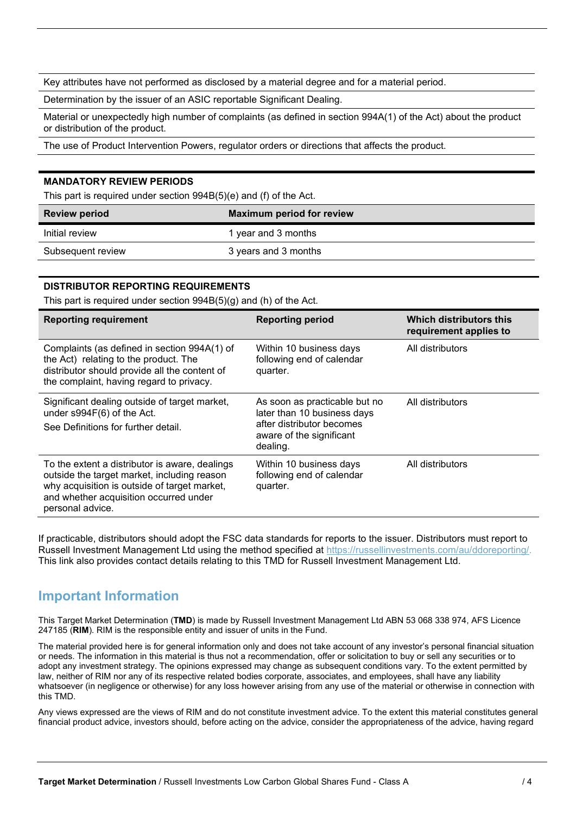Key attributes have not performed as disclosed by a material degree and for a material period.

Determination by the issuer of an ASIC reportable Significant Dealing.

Material or unexpectedly high number of complaints (as defined in section 994A(1) of the Act) about the product or distribution of the product.

The use of Product Intervention Powers, regulator orders or directions that affects the product.

### **MANDATORY REVIEW PERIODS**

This part is required under section 994B(5)(e) and (f) of the Act.

| <b>Review period</b> | <b>Maximum period for review</b> |
|----------------------|----------------------------------|
| Initial review       | 1 year and 3 months              |
| Subsequent review    | 3 years and 3 months             |

### **DISTRIBUTOR REPORTING REQUIREMENTS**

This part is required under section 994B(5)(g) and (h) of the Act.

| <b>Reporting requirement</b>                                                                                                                                                                                | <b>Reporting period</b>                                                                                                           | Which distributors this<br>requirement applies to |
|-------------------------------------------------------------------------------------------------------------------------------------------------------------------------------------------------------------|-----------------------------------------------------------------------------------------------------------------------------------|---------------------------------------------------|
| Complaints (as defined in section 994A(1) of<br>the Act) relating to the product. The<br>distributor should provide all the content of<br>the complaint, having regard to privacy.                          | Within 10 business days<br>following end of calendar<br>quarter.                                                                  | All distributors                                  |
| Significant dealing outside of target market,<br>under s994F(6) of the Act.<br>See Definitions for further detail.                                                                                          | As soon as practicable but no<br>later than 10 business days<br>after distributor becomes<br>aware of the significant<br>dealing. | All distributors                                  |
| To the extent a distributor is aware, dealings<br>outside the target market, including reason<br>why acquisition is outside of target market,<br>and whether acquisition occurred under<br>personal advice. | Within 10 business days<br>following end of calendar<br>quarter.                                                                  | All distributors                                  |

If practicable, distributors should adopt the FSC data standards for reports to the issuer. Distributors must report to Russell Investment Management Ltd using the method specified at https://russellinvestments.com/au/ddoreporting/. This link also provides contact details relating to this TMD for Russell Investment Management Ltd.

### **Important Information**

This Target Market Determination (**TMD**) is made by Russell Investment Management Ltd ABN 53 068 338 974, AFS Licence 247185 (**RIM**). RIM is the responsible entity and issuer of units in the Fund.

The material provided here is for general information only and does not take account of any investor's personal financial situation or needs. The information in this material is thus not a recommendation, offer or solicitation to buy or sell any securities or to adopt any investment strategy. The opinions expressed may change as subsequent conditions vary. To the extent permitted by law, neither of RIM nor any of its respective related bodies corporate, associates, and employees, shall have any liability whatsoever (in negligence or otherwise) for any loss however arising from any use of the material or otherwise in connection with this TMD.

Any views expressed are the views of RIM and do not constitute investment advice. To the extent this material constitutes general financial product advice, investors should, before acting on the advice, consider the appropriateness of the advice, having regard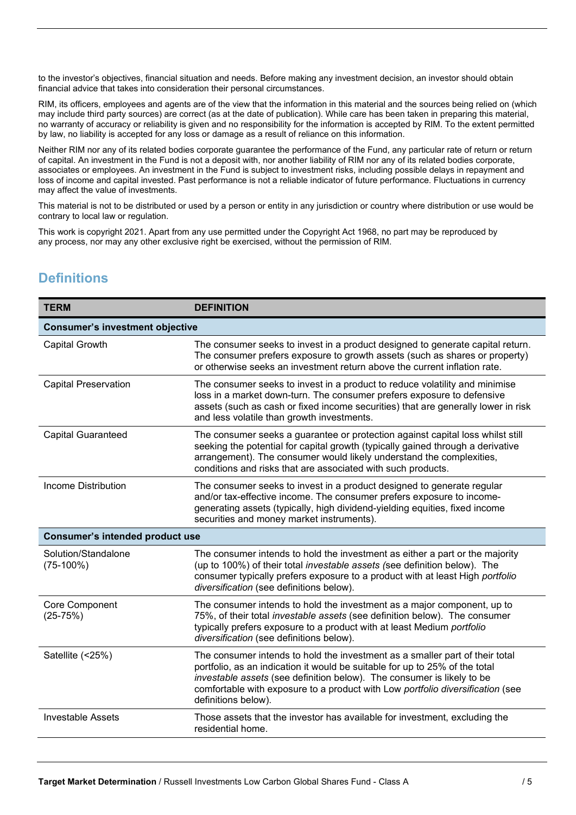to the investor's objectives, financial situation and needs. Before making any investment decision, an investor should obtain financial advice that takes into consideration their personal circumstances.

RIM, its officers, employees and agents are of the view that the information in this material and the sources being relied on (which may include third party sources) are correct (as at the date of publication). While care has been taken in preparing this material, no warranty of accuracy or reliability is given and no responsibility for the information is accepted by RIM. To the extent permitted by law, no liability is accepted for any loss or damage as a result of reliance on this information.

Neither RIM nor any of its related bodies corporate guarantee the performance of the Fund, any particular rate of return or return of capital. An investment in the Fund is not a deposit with, nor another liability of RIM nor any of its related bodies corporate, associates or employees. An investment in the Fund is subject to investment risks, including possible delays in repayment and loss of income and capital invested. Past performance is not a reliable indicator of future performance. Fluctuations in currency may affect the value of investments.

This material is not to be distributed or used by a person or entity in any jurisdiction or country where distribution or use would be contrary to local law or regulation.

This work is copyright 2021. Apart from any use permitted under the Copyright Act 1968, no part may be reproduced by any process, nor may any other exclusive right be exercised, without the permission of RIM.

# **Definitions**

| <b>TERM</b>                            | <b>DEFINITION</b>                                                                                                                                                                                                                                                                                                                              |  |
|----------------------------------------|------------------------------------------------------------------------------------------------------------------------------------------------------------------------------------------------------------------------------------------------------------------------------------------------------------------------------------------------|--|
| <b>Consumer's investment objective</b> |                                                                                                                                                                                                                                                                                                                                                |  |
| Capital Growth                         | The consumer seeks to invest in a product designed to generate capital return.<br>The consumer prefers exposure to growth assets (such as shares or property)<br>or otherwise seeks an investment return above the current inflation rate.                                                                                                     |  |
| <b>Capital Preservation</b>            | The consumer seeks to invest in a product to reduce volatility and minimise<br>loss in a market down-turn. The consumer prefers exposure to defensive<br>assets (such as cash or fixed income securities) that are generally lower in risk<br>and less volatile than growth investments.                                                       |  |
| <b>Capital Guaranteed</b>              | The consumer seeks a guarantee or protection against capital loss whilst still<br>seeking the potential for capital growth (typically gained through a derivative<br>arrangement). The consumer would likely understand the complexities,<br>conditions and risks that are associated with such products.                                      |  |
| Income Distribution                    | The consumer seeks to invest in a product designed to generate regular<br>and/or tax-effective income. The consumer prefers exposure to income-<br>generating assets (typically, high dividend-yielding equities, fixed income<br>securities and money market instruments).                                                                    |  |
| <b>Consumer's intended product use</b> |                                                                                                                                                                                                                                                                                                                                                |  |
| Solution/Standalone<br>$(75-100%)$     | The consumer intends to hold the investment as either a part or the majority<br>(up to 100%) of their total investable assets (see definition below). The<br>consumer typically prefers exposure to a product with at least High portfolio<br>diversification (see definitions below).                                                         |  |
| Core Component<br>$(25-75%)$           | The consumer intends to hold the investment as a major component, up to<br>75%, of their total investable assets (see definition below). The consumer<br>typically prefers exposure to a product with at least Medium portfolio<br>diversification (see definitions below).                                                                    |  |
| Satellite (<25%)                       | The consumer intends to hold the investment as a smaller part of their total<br>portfolio, as an indication it would be suitable for up to 25% of the total<br>investable assets (see definition below). The consumer is likely to be<br>comfortable with exposure to a product with Low portfolio diversification (see<br>definitions below). |  |
| <b>Investable Assets</b>               | Those assets that the investor has available for investment, excluding the<br>residential home.                                                                                                                                                                                                                                                |  |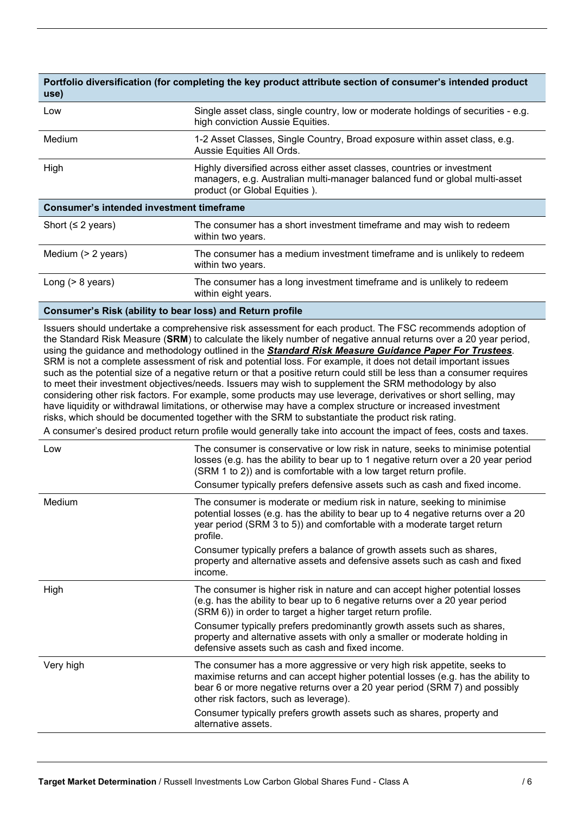| use)                                            | Portfolio diversification (for completing the key product attribute section of consumer's intended product                                                                              |  |
|-------------------------------------------------|-----------------------------------------------------------------------------------------------------------------------------------------------------------------------------------------|--|
| Low                                             | Single asset class, single country, low or moderate holdings of securities - e.g.<br>high conviction Aussie Equities.                                                                   |  |
| Medium                                          | 1-2 Asset Classes, Single Country, Broad exposure within asset class, e.g.<br>Aussie Equities All Ords.                                                                                 |  |
| High                                            | Highly diversified across either asset classes, countries or investment<br>managers, e.g. Australian multi-manager balanced fund or global multi-asset<br>product (or Global Equities). |  |
| <b>Consumer's intended investment timeframe</b> |                                                                                                                                                                                         |  |
| Short ( $\leq$ 2 years)                         | The consumer has a short investment timeframe and may wish to redeem<br>within two years.                                                                                               |  |
| Medium $(> 2$ years)                            | The consumer has a medium investment timeframe and is unlikely to redeem<br>within two years.                                                                                           |  |
| Long $(> 8$ years)                              | The consumer has a long investment timeframe and is unlikely to redeem<br>within eight years.                                                                                           |  |
|                                                 |                                                                                                                                                                                         |  |

#### **Consumer's Risk (ability to bear loss) and Return profile**

Issuers should undertake a comprehensive risk assessment for each product. The FSC recommends adoption of the Standard Risk Measure (**SRM**) to calculate the likely number of negative annual returns over a 20 year period, using the guidance and methodology outlined in the *Standard Risk Measure Guidance Paper For Trustees*. SRM is not a complete assessment of risk and potential loss. For example, it does not detail important issues such as the potential size of a negative return or that a positive return could still be less than a consumer requires to meet their investment objectives/needs. Issuers may wish to supplement the SRM methodology by also considering other risk factors. For example, some products may use leverage, derivatives or short selling, may have liquidity or withdrawal limitations, or otherwise may have a complex structure or increased investment risks, which should be documented together with the SRM to substantiate the product risk rating.

A consumer's desired product return profile would generally take into account the impact of fees, costs and taxes.

| Low       | The consumer is conservative or low risk in nature, seeks to minimise potential<br>losses (e.g. has the ability to bear up to 1 negative return over a 20 year period<br>(SRM 1 to 2)) and is comfortable with a low target return profile.<br>Consumer typically prefers defensive assets such as cash and fixed income. |
|-----------|---------------------------------------------------------------------------------------------------------------------------------------------------------------------------------------------------------------------------------------------------------------------------------------------------------------------------|
| Medium    | The consumer is moderate or medium risk in nature, seeking to minimise<br>potential losses (e.g. has the ability to bear up to 4 negative returns over a 20<br>year period (SRM 3 to 5)) and comfortable with a moderate target return<br>profile.                                                                        |
|           | Consumer typically prefers a balance of growth assets such as shares,<br>property and alternative assets and defensive assets such as cash and fixed<br>income.                                                                                                                                                           |
| High      | The consumer is higher risk in nature and can accept higher potential losses<br>(e.g. has the ability to bear up to 6 negative returns over a 20 year period<br>(SRM 6)) in order to target a higher target return profile.                                                                                               |
|           | Consumer typically prefers predominantly growth assets such as shares,<br>property and alternative assets with only a smaller or moderate holding in<br>defensive assets such as cash and fixed income.                                                                                                                   |
| Very high | The consumer has a more aggressive or very high risk appetite, seeks to<br>maximise returns and can accept higher potential losses (e.g. has the ability to<br>bear 6 or more negative returns over a 20 year period (SRM 7) and possibly<br>other risk factors, such as leverage).                                       |
|           | Consumer typically prefers growth assets such as shares, property and<br>alternative assets.                                                                                                                                                                                                                              |
|           |                                                                                                                                                                                                                                                                                                                           |